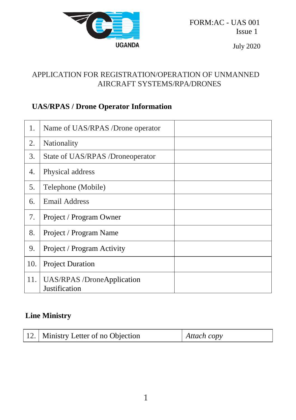

FORM:AC - UAS 001 Issue 1

July 2020

# APPLICATION FOR REGISTRATION/OPERATION OF UNMANNED AIRCRAFT SYSTEMS/RPA/DRONES

# **UAS/RPAS / Drone Operator Information**

| 1.  | Name of UAS/RPAS /Drone operator                   |
|-----|----------------------------------------------------|
| 2.  | Nationality                                        |
| 3.  | State of UAS/RPAS /Droneoperator                   |
| 4.  | Physical address                                   |
| 5.  | Telephone (Mobile)                                 |
| 6.  | Email Address                                      |
| 7.  | Project / Program Owner                            |
| 8.  | Project / Program Name                             |
| 9.  | Project / Program Activity                         |
| 10. | <b>Project Duration</b>                            |
| 11. | <b>UAS/RPAS</b> /DroneApplication<br>Justification |

#### **Line Ministry**

|  | 12. Ministry Letter of no Objection | $\vert$ Attach copy |
|--|-------------------------------------|---------------------|
|--|-------------------------------------|---------------------|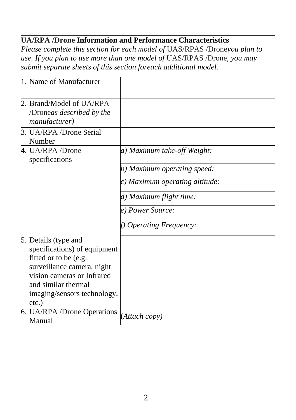### **UA/RPA /Drone Information and Performance Characteristics**

*Please complete this section for each model of* UAS/RPAS /Drone*you plan to use. If you plan to use more than one model of* UAS/RPAS /Drone*, you may submit separate sheets of this section foreach additional model.*

| 1. Name of Manufacturer      |                                |
|------------------------------|--------------------------------|
| 2. Brand/Model of UA/RPA     |                                |
| /Droneas described by the    |                                |
| <i>manufacturer</i> )        |                                |
| 3. UA/RPA /Drone Serial      |                                |
| Number                       |                                |
| 4. UA/RPA/Drone              | a) Maximum take-off Weight:    |
| specifications               |                                |
|                              | b) Maximum operating speed:    |
|                              | c) Maximum operating altitude: |
|                              | d) Maximum flight time:        |
|                              | e) Power Source:               |
|                              | f) Operating Frequency:        |
| 5. Details (type and         |                                |
| specifications) of equipment |                                |
| fitted or to be (e.g.        |                                |
| surveillance camera, night   |                                |
| vision cameras or Infrared   |                                |
| and similar thermal          |                                |
| imaging/sensors technology,  |                                |
| $etc.$ )                     |                                |
| 6. UA/RPA /Drone Operations  | (Attach copy)                  |
| Manual                       |                                |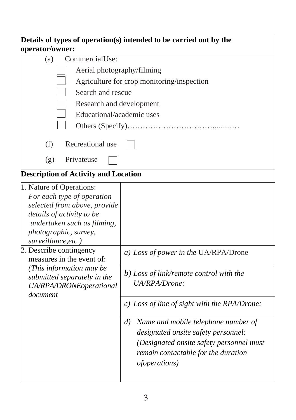| operator/owner:                                                                                                                                                                                    | Details of types of operation(s) intended to be carried out by the                                                                                                                                          |  |  |  |  |
|----------------------------------------------------------------------------------------------------------------------------------------------------------------------------------------------------|-------------------------------------------------------------------------------------------------------------------------------------------------------------------------------------------------------------|--|--|--|--|
| CommercialUse:<br>(a)                                                                                                                                                                              |                                                                                                                                                                                                             |  |  |  |  |
| Aerial photography/filming                                                                                                                                                                         |                                                                                                                                                                                                             |  |  |  |  |
| Agriculture for crop monitoring/inspection                                                                                                                                                         |                                                                                                                                                                                                             |  |  |  |  |
| Search and rescue                                                                                                                                                                                  |                                                                                                                                                                                                             |  |  |  |  |
| Research and development                                                                                                                                                                           |                                                                                                                                                                                                             |  |  |  |  |
| Educational/academic uses                                                                                                                                                                          |                                                                                                                                                                                                             |  |  |  |  |
|                                                                                                                                                                                                    |                                                                                                                                                                                                             |  |  |  |  |
| (f)<br>Recreational use                                                                                                                                                                            |                                                                                                                                                                                                             |  |  |  |  |
| Privateuse<br>(g)                                                                                                                                                                                  |                                                                                                                                                                                                             |  |  |  |  |
| <b>Description of Activity and Location</b>                                                                                                                                                        |                                                                                                                                                                                                             |  |  |  |  |
| 1. Nature of Operations:<br>For each type of operation<br>selected from above, provide<br>details of activity to be<br>undertaken such as filming,<br>photographic, survey,<br>surveillance, etc.) |                                                                                                                                                                                                             |  |  |  |  |
| 2. Describe contingency<br>measures in the event of:                                                                                                                                               | a) Loss of power in the UA/RPA/Drone                                                                                                                                                                        |  |  |  |  |
| (This information may be<br>submitted separately in the<br>UA/RPA/DRONEoperational<br>document                                                                                                     | b) Loss of link/remote control with the<br>UA/RPA/Drone:                                                                                                                                                    |  |  |  |  |
|                                                                                                                                                                                                    | c) Loss of line of sight with the RPA/Drone:                                                                                                                                                                |  |  |  |  |
|                                                                                                                                                                                                    | Name and mobile telephone number of<br>$\left( d\right)$<br>designated onsite safety personnel:<br>(Designated onsite safety personnel must<br>remain contactable for the duration<br><i>ofoperations</i> ) |  |  |  |  |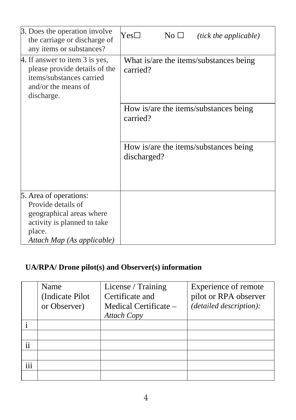| 3. Does the operation involve<br>the carriage or discharge of<br>any items or substances?                                                       | $Yes\square$<br>No $\Box$                            | <i>(tick the applicable)</i> |  |
|-------------------------------------------------------------------------------------------------------------------------------------------------|------------------------------------------------------|------------------------------|--|
| 4. If answer to item 3 is yes,<br>please provide details of the<br>items/substances carried<br>and/or the means of<br>discharge.                | What is/are the items/substances being<br>carried?   |                              |  |
|                                                                                                                                                 | How is/are the items/substances being<br>carried?    |                              |  |
|                                                                                                                                                 | How is/are the items/substances being<br>discharged? |                              |  |
| 5. Area of operations:<br>Provide details of<br>geographical areas where<br>activity is planned to take<br>place.<br>Attach Map (As applicable) |                                                      |                              |  |

# **UA/RPA/ Drone pilot(s) and Observer(s) information**

|          | Name             | License / Training    | Experience of remote    |
|----------|------------------|-----------------------|-------------------------|
|          | (Indicate Pilot) | Certificate and       | pilot or RPA observer   |
|          | or Observer)     | Medical Certificate - | (detailed description): |
|          |                  | Attach Copy           |                         |
|          |                  |                       |                         |
|          |                  |                       |                         |
| ii       |                  |                       |                         |
|          |                  |                       |                         |
| .<br>111 |                  |                       |                         |
|          |                  |                       |                         |